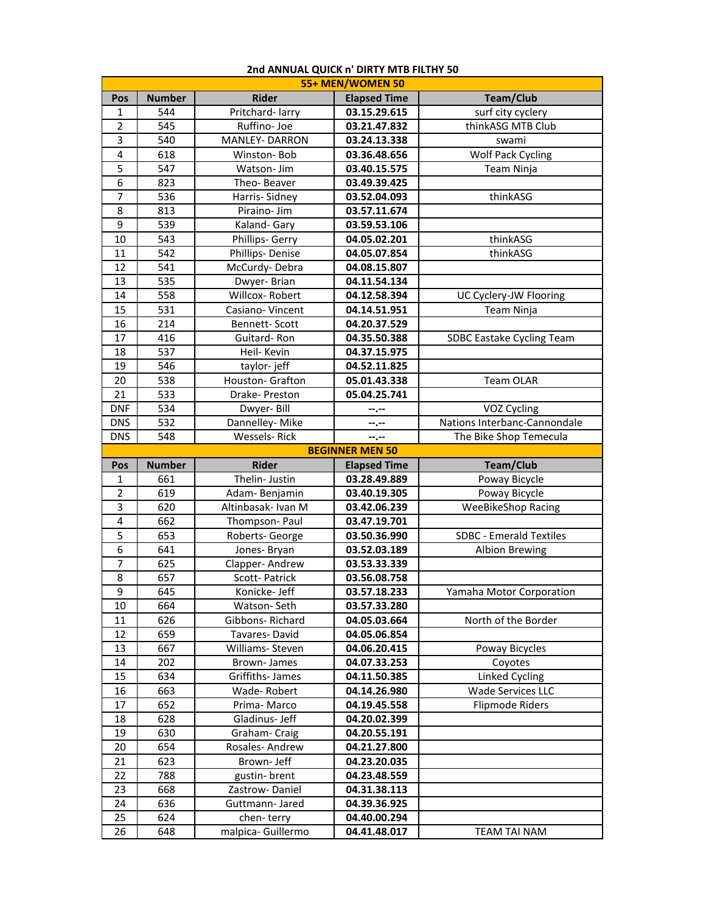| 55+ MEN/WOMEN 50 |               |                       |                        |                                |
|------------------|---------------|-----------------------|------------------------|--------------------------------|
| Pos              | <b>Number</b> | <b>Rider</b>          | <b>Elapsed Time</b>    | <b>Team/Club</b>               |
| 1                | 544           | Pritchard-larry       | 03.15.29.615           | surf city cyclery              |
| $\overline{2}$   | 545           | Ruffino- Joe          | 03.21.47.832           | thinkASG MTB Club              |
| 3                | 540           | <b>MANLEY- DARRON</b> | 03.24.13.338           | swami                          |
| 4                | 618           | Winston-Bob           | 03.36.48.656           | <b>Wolf Pack Cycling</b>       |
| 5                | 547           | Watson- Jim           | 03.40.15.575           | Team Ninja                     |
| 6                | 823           | Theo-Beaver           | 03.49.39.425           |                                |
| 7                | 536           | Harris-Sidney         | 03.52.04.093           | thinkASG                       |
| 8                | 813           | Piraino- Jim          | 03.57.11.674           |                                |
| 9                | 539           | Kaland- Gary          | 03.59.53.106           |                                |
| 10               | 543           | Phillips- Gerry       | 04.05.02.201           | thinkASG                       |
| 11               | 542           | Phillips-Denise       | 04.05.07.854           | thinkASG                       |
| 12               | 541           | McCurdy-Debra         | 04.08.15.807           |                                |
| 13               | 535           | Dwyer-Brian           | 04.11.54.134           |                                |
| 14               | 558           | Willcox-Robert        | 04.12.58.394           | UC Cyclery-JW Flooring         |
| 15               | 531           | Casiano-Vincent       | 04.14.51.951           | Team Ninja                     |
| 16               | 214           | Bennett-Scott         | 04.20.37.529           |                                |
| 17               | 416           | Guitard-Ron           | 04.35.50.388           | SDBC Eastake Cycling Team      |
| 18               | 537           | Heil- Kevin           | 04.37.15.975           |                                |
| 19               | 546           | taylor-jeff           | 04.52.11.825           |                                |
| 20               | 538           | Houston- Grafton      | 05.01.43.338           | Team OLAR                      |
| 21               | 533           | Drake- Preston        | 05.04.25.741           |                                |
| <b>DNF</b>       | 534           | Dwyer-Bill            | --.--                  | VOZ Cycling                    |
| <b>DNS</b>       | 532           | Dannelley- Mike       | --.--                  | Nations Interbanc-Cannondale   |
| <b>DNS</b>       | 548           | <b>Wessels-Rick</b>   | --.--                  | The Bike Shop Temecula         |
|                  |               |                       | <b>BEGINNER MEN 50</b> |                                |
|                  |               |                       |                        |                                |
| Pos              | <b>Number</b> | <b>Rider</b>          | <b>Elapsed Time</b>    | <b>Team/Club</b>               |
| 1                | 661           | Thelin- Justin        | 03.28.49.889           | Poway Bicycle                  |
| $\overline{2}$   | 619           | Adam-Benjamin         | 03.40.19.305           | Poway Bicycle                  |
| 3                | 620           | Altinbasak- Ivan M    | 03.42.06.239           | <b>WeeBikeShop Racing</b>      |
| 4                | 662           | Thompson-Paul         | 03.47.19.701           |                                |
| 5                | 653           | Roberts- George       | 03.50.36.990           | <b>SDBC - Emerald Textiles</b> |
| 6                | 641           | Jones-Bryan           | 03.52.03.189           | <b>Albion Brewing</b>          |
| 7                | 625           | Clapper-Andrew        | 03.53.33.339           |                                |
| 8                | 657           | Scott-Patrick         | 03.56.08.758           |                                |
| 9                | 645           | Konicke-Jeff          | 03.57.18.233           | Yamaha Motor Corporation       |
| 10               | 664           | Watson-Seth           | 03.57.33.280           |                                |
| 11               | 626           | Gibbons-Richard       | 04.05.03.664           | North of the Border            |
| 12               | 659           | Tavares-David         | 04.05.06.854           |                                |
| 13               | 667           | Williams- Steven      | 04.06.20.415           | Poway Bicycles                 |
| 14               | 202           | Brown-James           | 04.07.33.253           | Coyotes                        |
| 15               | 634           | Griffiths-James       | 04.11.50.385           | Linked Cycling                 |
| 16               | 663           | Wade-Robert           | 04.14.26.980           | <b>Wade Services LLC</b>       |
| 17               | 652           | Prima-Marco           | 04.19.45.558           | <b>Flipmode Riders</b>         |
| 18               | 628           | Gladinus- Jeff        | 04.20.02.399           |                                |
| 19               | 630           | Graham-Craig          | 04.20.55.191           |                                |
| 20               | 654           | Rosales-Andrew        | 04.21.27.800           |                                |
| 21               | 623           | Brown- Jeff           | 04.23.20.035           |                                |
| 22               | 788           | gustin-brent          | 04.23.48.559           |                                |
| 23               | 668           | Zastrow-Daniel        | 04.31.38.113           |                                |
| 24               | 636           | Guttmann-Jared        | 04.39.36.925           |                                |
| 25               | 624           | chen-terry            | 04.40.00.294           |                                |

## **2nd ANNUAL QUICK n' DIRTY MTB FILTHY 50**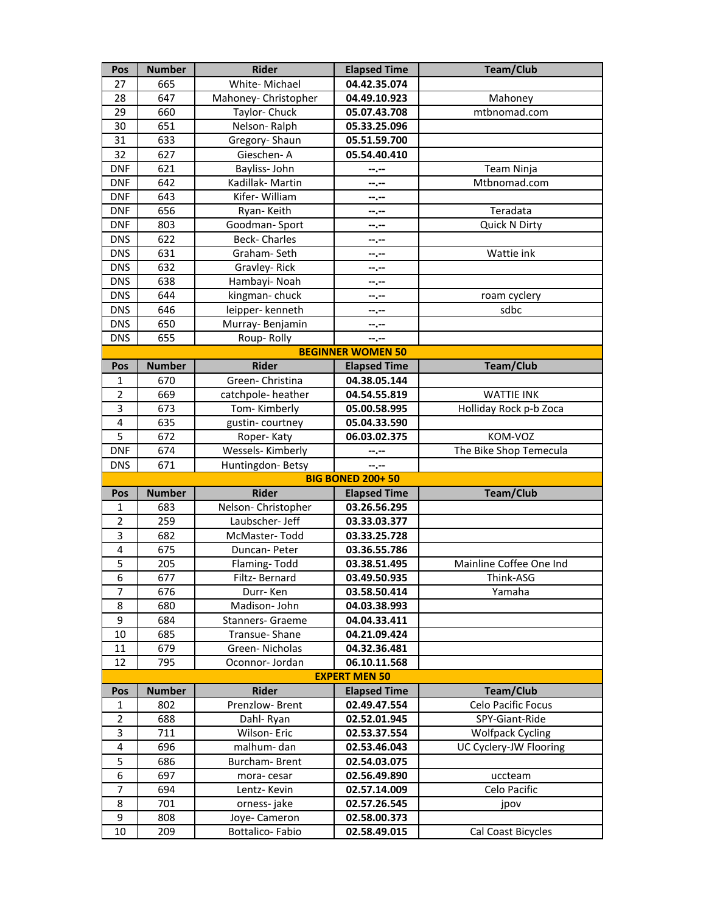| Pos                     | <b>Number</b>        | <b>Rider</b>                     | <b>Elapsed Time</b>                 | <b>Team/Club</b>        |  |  |
|-------------------------|----------------------|----------------------------------|-------------------------------------|-------------------------|--|--|
| 27                      | 665                  | White-Michael                    | 04.42.35.074                        |                         |  |  |
| 28                      | 647                  | Mahoney- Christopher             | 04.49.10.923                        | Mahoney                 |  |  |
| 29                      | 660                  | Taylor- Chuck                    | 05.07.43.708                        | mtbnomad.com            |  |  |
| 30                      | 651                  | Nelson-Ralph                     | 05.33.25.096                        |                         |  |  |
| 31                      | 633                  | Gregory-Shaun                    | 05.51.59.700                        |                         |  |  |
| 32                      | 627                  | Gieschen-A                       | 05.54.40.410                        |                         |  |  |
| <b>DNF</b>              | 621                  | Bayliss-John                     | --.--                               | Team Ninja              |  |  |
| <b>DNF</b>              | 642                  | Kadillak-Martin                  | --.--                               | Mtbnomad.com            |  |  |
| <b>DNF</b>              | 643                  | Kifer-William                    | --.--                               |                         |  |  |
| <b>DNF</b>              | 656                  | Ryan-Keith                       | --.--                               | Teradata                |  |  |
| <b>DNF</b>              | 803                  | Goodman-Sport                    | --.--                               | Quick N Dirty           |  |  |
| <b>DNS</b>              | 622                  | Beck- Charles                    | --.--                               |                         |  |  |
| <b>DNS</b>              | 631                  | Graham-Seth                      | $-1$                                | Wattie ink              |  |  |
| <b>DNS</b>              | 632                  | Gravley-Rick                     | $- - - - -$                         |                         |  |  |
| <b>DNS</b>              | 638                  | Hambayi- Noah                    | --.--                               |                         |  |  |
| <b>DNS</b>              | 644                  | kingman-chuck                    | --.--                               | roam cyclery            |  |  |
| <b>DNS</b>              | 646                  | leipper- kenneth                 | --.--                               | sdbc                    |  |  |
| <b>DNS</b>              | 650                  | Murray-Benjamin                  | --.--                               |                         |  |  |
| <b>DNS</b>              | 655                  | Roup-Rolly                       | --.--                               |                         |  |  |
|                         |                      |                                  | <b>BEGINNER WOMEN 50</b>            |                         |  |  |
| Pos                     | <b>Number</b><br>670 | <b>Rider</b><br>Green- Christina | <b>Elapsed Time</b><br>04.38.05.144 | <b>Team/Club</b>        |  |  |
| 1<br>$\overline{2}$     | 669                  | catchpole-heather                | 04.54.55.819                        | <b>WATTIE INK</b>       |  |  |
| 3                       | 673                  | Tom-Kimberly                     | 05.00.58.995                        | Holliday Rock p-b Zoca  |  |  |
| $\overline{\mathbf{4}}$ | 635                  | gustin-courtney                  | 05.04.33.590                        |                         |  |  |
| 5                       | 672                  | Roper-Katy                       | 06.03.02.375                        | KOM-VOZ                 |  |  |
| <b>DNF</b>              | 674                  | Wessels-Kimberly                 |                                     | The Bike Shop Temecula  |  |  |
| <b>DNS</b>              | 671                  | Huntingdon-Betsy                 | --.--<br>$- - - - -$                |                         |  |  |
|                         |                      |                                  | <b>BIG BONED 200+50</b>             |                         |  |  |
| Pos                     | <b>Number</b>        | <b>Rider</b>                     | <b>Elapsed Time</b>                 | <b>Team/Club</b>        |  |  |
| 1                       | 683                  | Nelson- Christopher              | 03.26.56.295                        |                         |  |  |
| $\overline{2}$          | 259                  | Laubscher- Jeff                  | 03.33.03.377                        |                         |  |  |
| 3                       | 682                  | McMaster-Todd                    | 03.33.25.728                        |                         |  |  |
| 4                       | 675                  | Duncan-Peter                     | 03.36.55.786                        |                         |  |  |
| 5                       | 205                  | Flaming-Todd                     | 03.38.51.495                        | Mainline Coffee One Ind |  |  |
| $\overline{6}$          | 677                  | Filtz-Bernard                    | 03.49.50.935                        | Think-ASG               |  |  |
| $\overline{7}$          | 676                  | Durr-Ken                         | 03.58.50.414                        | Yamaha                  |  |  |
| 8                       | 680                  | Madison-John                     | 04.03.38.993                        |                         |  |  |
| 9                       | 684                  | <b>Stanners- Graeme</b>          | 04.04.33.411                        |                         |  |  |
| 10                      | 685                  | Transue-Shane                    | 04.21.09.424                        |                         |  |  |
| 11                      | 679                  | Green-Nicholas                   | 04.32.36.481                        |                         |  |  |
| 12                      | 795                  | Oconnor-Jordan                   | 06.10.11.568                        |                         |  |  |
|                         | <b>EXPERT MEN 50</b> |                                  |                                     |                         |  |  |
| Pos                     | <b>Number</b>        | Rider                            | <b>Elapsed Time</b>                 | Team/Club               |  |  |
| 1                       | 802                  | Prenzlow-Brent                   | 02.49.47.554                        | Celo Pacific Focus      |  |  |
| $\overline{2}$          | 688                  | Dahl-Ryan                        | 02.52.01.945                        | SPY-Giant-Ride          |  |  |
| 3                       | 711                  | Wilson-Eric                      | 02.53.37.554                        | <b>Wolfpack Cycling</b> |  |  |
| 4                       | 696                  | malhum-dan                       | 02.53.46.043                        | UC Cyclery-JW Flooring  |  |  |
| 5                       | 686                  | <b>Burcham-Brent</b>             | 02.54.03.075                        |                         |  |  |
| 6                       | 697                  | mora-cesar                       | 02.56.49.890                        | uccteam                 |  |  |
| 7                       | 694                  | Lentz-Kevin                      | 02.57.14.009                        | Celo Pacific            |  |  |
| 8<br>9                  | 701                  | orness-jake                      | 02.57.26.545                        | jpov                    |  |  |
|                         | 808                  | Joye- Cameron                    | 02.58.00.373                        |                         |  |  |
| 10                      | 209                  | Bottalico-Fabio                  | 02.58.49.015                        | Cal Coast Bicycles      |  |  |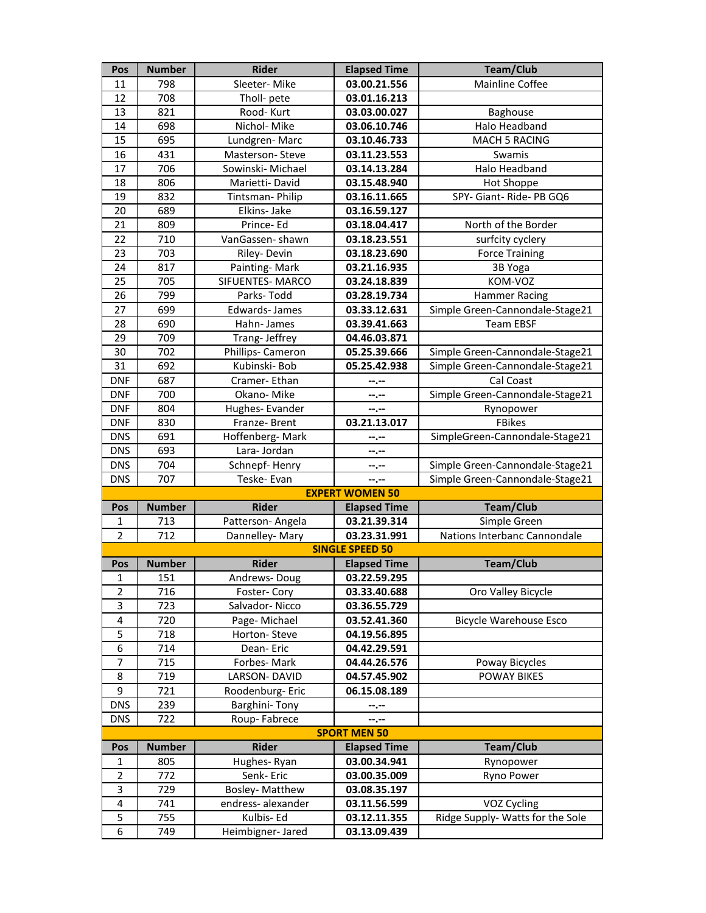| Pos                      | <b>Number</b> | <b>Rider</b>                    | <b>Elapsed Time</b>              | <b>Team/Club</b>                                |
|--------------------------|---------------|---------------------------------|----------------------------------|-------------------------------------------------|
| 11                       | 798           | Sleeter-Mike                    | 03.00.21.556                     | <b>Mainline Coffee</b>                          |
| 12                       | 708           | Tholl- pete                     | 03.01.16.213                     |                                                 |
| 13                       | 821           | Rood-Kurt                       | 03.03.00.027                     | Baghouse                                        |
| 14                       | 698           | Nichol-Mike                     | 03.06.10.746                     | <b>Halo Headband</b>                            |
| 15                       | 695           | Lundgren-Marc                   | 03.10.46.733                     | <b>MACH 5 RACING</b>                            |
| 16                       | 431           | Masterson-Steve                 | 03.11.23.553                     | Swamis                                          |
| 17                       | 706           | Sowinski-Michael                | 03.14.13.284                     | Halo Headband                                   |
| 18                       | 806           | Marietti-David                  | 03.15.48.940                     | <b>Hot Shoppe</b>                               |
| 19                       | 832           | Tintsman-Philip                 | 03.16.11.665                     | SPY- Giant- Ride- PB GQ6                        |
| 20                       | 689           | Elkins- Jake                    | 03.16.59.127                     |                                                 |
| 21                       | 809           | Prince-Ed                       | 03.18.04.417                     | North of the Border                             |
| 22                       | 710           | VanGassen-shawn                 | 03.18.23.551                     | surfcity cyclery                                |
| 23                       | 703           | Riley-Devin                     | 03.18.23.690                     | <b>Force Training</b>                           |
| 24                       | 817           | Painting-Mark                   | 03.21.16.935                     | 3B Yoga                                         |
| 25                       | 705           | <b>SIFUENTES-MARCO</b>          | 03.24.18.839                     | KOM-VOZ                                         |
| 26                       | 799           | Parks-Todd                      | 03.28.19.734                     | <b>Hammer Racing</b>                            |
| 27                       | 699           | <b>Edwards-James</b>            | 03.33.12.631                     | Simple Green-Cannondale-Stage21                 |
| 28                       | 690           | Hahn-James                      | 03.39.41.663                     | <b>Team EBSF</b>                                |
| 29                       | 709           | Trang- Jeffrey                  | 04.46.03.871                     |                                                 |
| 30                       | 702           | Phillips- Cameron               | 05.25.39.666                     | Simple Green-Cannondale-Stage21                 |
| 31                       | 692           | Kubinski-Bob                    | 05.25.42.938                     | Simple Green-Cannondale-Stage21                 |
| <b>DNF</b>               | 687           | Cramer-Ethan                    | --.--                            | Cal Coast                                       |
| <b>DNF</b>               | 700           | Okano-Mike                      | --.--                            | Simple Green-Cannondale-Stage21                 |
| <b>DNF</b><br><b>DNF</b> | 804<br>830    | Hughes-Evander                  | $-1 - 1 - 1 = 0$<br>03.21.13.017 | Rynopower<br>FBikes                             |
| <b>DNS</b>               | 691           | Franze-Brent<br>Hoffenberg-Mark |                                  | SimpleGreen-Cannondale-Stage21                  |
| <b>DNS</b>               | 693           | Lara-Jordan                     | $- - - - -$<br>$-1 - 1 - 1 = 0$  |                                                 |
| <b>DNS</b>               | 704           | Schnepf-Henry                   | $-1 - 1 - 1 = 0$                 | Simple Green-Cannondale-Stage21                 |
| <b>DNS</b>               | 707           | Teske-Evan                      | $-2 - 1$                         | Simple Green-Cannondale-Stage21                 |
|                          |               |                                 | <b>EXPERT WOMEN 50</b>           |                                                 |
| Pos                      | <b>Number</b> | <b>Rider</b>                    | <b>Elapsed Time</b>              | <b>Team/Club</b>                                |
| 1                        | 713           | Patterson-Angela                | 03.21.39.314                     | Simple Green                                    |
| $\overline{2}$           | 712           | Dannelley-Mary                  | 03.23.31.991                     | Nations Interbanc Cannondale                    |
|                          |               |                                 | <b>SINGLE SPEED 50</b>           |                                                 |
| Pos                      | <b>Number</b> | <b>Rider</b>                    | <b>Elapsed Time</b>              | Team/Club                                       |
| 1                        | 151           | Andrews-Doug                    | 03.22.59.295                     |                                                 |
| $\overline{2}$           | 716           | Foster-Cory                     | 03.33.40.688                     | Oro Valley Bicycle                              |
| 3                        | 723           | Salvador-Nicco                  | 03.36.55.729                     |                                                 |
| 4                        | 720           | Page-Michael                    | 03.52.41.360                     | <b>Bicycle Warehouse Esco</b>                   |
| 5                        | 718           | Horton-Steve                    | 04.19.56.895                     |                                                 |
| 6                        | 714           | Dean-Eric                       | 04.42.29.591                     |                                                 |
| $\overline{7}$           | 715           | Forbes-Mark                     | 04.44.26.576                     | Poway Bicycles                                  |
| 8                        | 719           | LARSON- DAVID                   | 04.57.45.902                     | <b>POWAY BIKES</b>                              |
| 9                        | 721           | Roodenburg-Eric                 | 06.15.08.189                     |                                                 |
| <b>DNS</b>               | 239           | Barghini-Tony                   | --.--                            |                                                 |
| <b>DNS</b>               | 722           | Roup-Fabrece                    | --.--                            |                                                 |
|                          |               |                                 | <b>SPORT MEN 50</b>              |                                                 |
| Pos                      | <b>Number</b> | <b>Rider</b>                    | <b>Elapsed Time</b>              | <b>Team/Club</b>                                |
| 1                        | 805           | Hughes-Ryan                     | 03.00.34.941                     | Rynopower                                       |
| $\overline{2}$           | 772           | Senk-Eric                       | 03.00.35.009                     | Ryno Power                                      |
| 3                        | 729           | <b>Bosley-Matthew</b>           | 03.08.35.197                     |                                                 |
| 4<br>5                   | 741<br>755    | endress-alexander<br>Kulbis-Ed  | 03.11.56.599                     | VOZ Cycling<br>Ridge Supply- Watts for the Sole |
| 6                        |               |                                 | 03.12.11.355                     |                                                 |
|                          | 749           | Heimbigner- Jared               | 03.13.09.439                     |                                                 |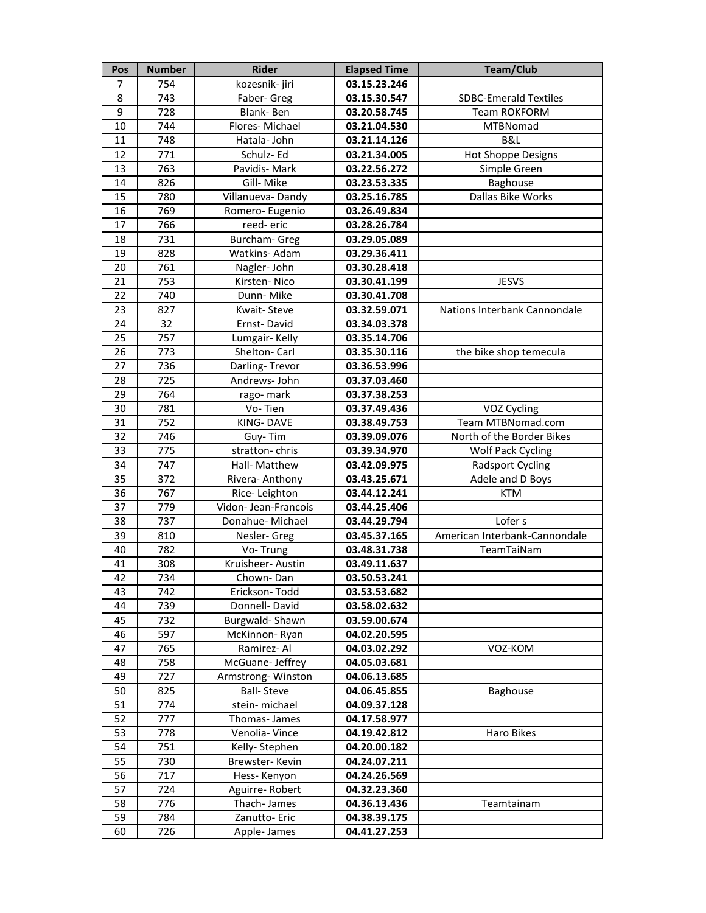| Pos | <b>Number</b> | <b>Rider</b>         | <b>Elapsed Time</b> | <b>Team/Club</b>              |
|-----|---------------|----------------------|---------------------|-------------------------------|
| 7   | 754           | kozesnik- jiri       | 03.15.23.246        |                               |
| 8   | 743           | Faber- Greg          | 03.15.30.547        | <b>SDBC-Emerald Textiles</b>  |
| 9   | 728           | Blank-Ben            | 03.20.58.745        | <b>Team ROKFORM</b>           |
| 10  | 744           | Flores-Michael       | 03.21.04.530        | MTBNomad                      |
| 11  | 748           | Hatala- John         | 03.21.14.126        | B&L                           |
| 12  | 771           | Schulz-Ed            | 03.21.34.005        | <b>Hot Shoppe Designs</b>     |
| 13  | 763           | Pavidis- Mark        | 03.22.56.272        | Simple Green                  |
| 14  | 826           | Gill-Mike            | 03.23.53.335        | Baghouse                      |
| 15  | 780           | Villanueva-Dandy     | 03.25.16.785        | Dallas Bike Works             |
| 16  | 769           | Romero- Eugenio      | 03.26.49.834        |                               |
| 17  | 766           | reed-eric            | 03.28.26.784        |                               |
| 18  | 731           | <b>Burcham- Greg</b> | 03.29.05.089        |                               |
| 19  | 828           | Watkins-Adam         | 03.29.36.411        |                               |
| 20  | 761           | Nagler-John          | 03.30.28.418        |                               |
| 21  | 753           | Kirsten-Nico         | 03.30.41.199        | <b>JESVS</b>                  |
| 22  | 740           | Dunn-Mike            | 03.30.41.708        |                               |
| 23  | 827           | Kwait-Steve          | 03.32.59.071        | Nations Interbank Cannondale  |
| 24  | 32            | Ernst-David          | 03.34.03.378        |                               |
| 25  | 757           | Lumgair-Kelly        | 03.35.14.706        |                               |
| 26  | 773           | Shelton- Carl        | 03.35.30.116        | the bike shop temecula        |
| 27  | 736           | Darling-Trevor       | 03.36.53.996        |                               |
| 28  | 725           | Andrews- John        | 03.37.03.460        |                               |
| 29  | 764           | rago-mark            | 03.37.38.253        |                               |
| 30  | 781           | Vo-Tien              | 03.37.49.436        | VOZ Cycling                   |
| 31  | 752           | KING-DAVE            | 03.38.49.753        | Team MTBNomad.com             |
| 32  | 746           | Guy-Tim              | 03.39.09.076        | North of the Border Bikes     |
| 33  | 775           | stratton-chris       | 03.39.34.970        | <b>Wolf Pack Cycling</b>      |
| 34  | 747           | Hall- Matthew        | 03.42.09.975        | <b>Radsport Cycling</b>       |
| 35  | 372           | Rivera-Anthony       | 03.43.25.671        | Adele and D Boys              |
| 36  | 767           | Rice-Leighton        | 03.44.12.241        | <b>KTM</b>                    |
| 37  | 779           | Vidon- Jean-Francois | 03.44.25.406        |                               |
| 38  | 737           | Donahue-Michael      | 03.44.29.794        | Lofer s                       |
| 39  | 810           | Nesler- Greg         | 03.45.37.165        | American Interbank-Cannondale |
| 40  | 782           | Vo-Trung             | 03.48.31.738        | TeamTaiNam                    |
| 41  | 308           | Kruisheer- Austin    | 03.49.11.637        |                               |
| 42  | 734           | Chown-Dan            | 03.50.53.241        |                               |
| 43  | 742           | Erickson-Todd        | 03.53.53.682        |                               |
| 44  | 739           | Donnell-David        | 03.58.02.632        |                               |
| 45  | 732           | Burgwald-Shawn       | 03.59.00.674        |                               |
| 46  | 597           | McKinnon-Ryan        | 04.02.20.595        |                               |
| 47  | 765           | Ramirez-Al           | 04.03.02.292        | VOZ-KOM                       |
| 48  | 758           | McGuane- Jeffrey     | 04.05.03.681        |                               |
| 49  | 727           | Armstrong-Winston    | 04.06.13.685        |                               |
| 50  | 825           | <b>Ball-Steve</b>    | 04.06.45.855        | <b>Baghouse</b>               |
| 51  | 774           | stein-michael        | 04.09.37.128        |                               |
| 52  | 777           | Thomas- James        | 04.17.58.977        |                               |
| 53  | 778           | Venolia-Vince        | 04.19.42.812        | Haro Bikes                    |
| 54  | 751           | Kelly-Stephen        | 04.20.00.182        |                               |
| 55  | 730           | Brewster-Kevin       | 04.24.07.211        |                               |
| 56  | 717           | Hess-Kenyon          | 04.24.26.569        |                               |
| 57  | 724           | Aguirre-Robert       | 04.32.23.360        |                               |
| 58  | 776           | Thach-James          | 04.36.13.436        | Teamtainam                    |
| 59  | 784           | Zanutto-Eric         | 04.38.39.175        |                               |
| 60  | 726           | Apple- James         | 04.41.27.253        |                               |